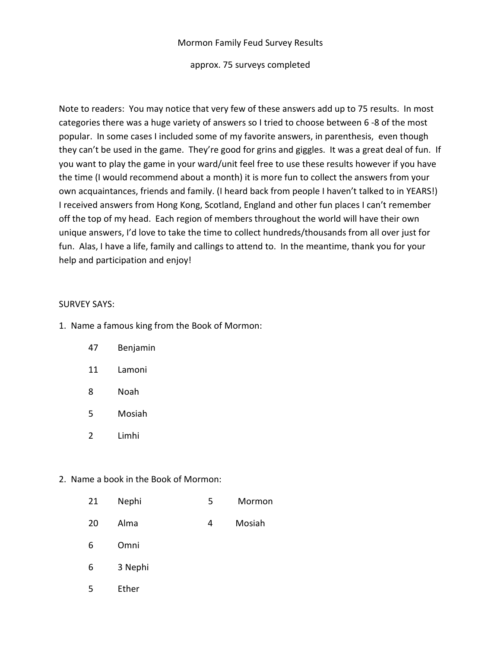### Mormon Family Feud Survey Results

#### approx. 75 surveys completed

Note to readers: You may notice that very few of these answers add up to 75 results. In most categories there was a huge variety of answers so I tried to choose between 6 -8 of the most popular. In some cases I included some of my favorite answers, in parenthesis, even though they can't be used in the game. They're good for grins and giggles. It was a great deal of fun. If you want to play the game in your ward/unit feel free to use these results however if you have the time (I would recommend about a month) it is more fun to collect the answers from your own acquaintances, friends and family. (I heard back from people I haven't talked to in YEARS!) I received answers from Hong Kong, Scotland, England and other fun places I can't remember off the top of my head. Each region of members throughout the world will have their own unique answers, I'd love to take the time to collect hundreds/thousands from all over just for fun. Alas, I have a life, family and callings to attend to. In the meantime, thank you for your help and participation and enjoy!

### SURVEY SAYS:

- 1. Name a famous king from the Book of Mormon:
	- 47 Benjamin
	- 11 Lamoni
	- 8 Noah
	- 5 Mosiah
	- 2 Limhi

### 2. Name a book in the Book of Mormon:

|    | Nephi<br>21 | Mormon |
|----|-------------|--------|
| 20 | Alma        | Mosiah |

- 6 Omni
- 6 3 Nephi
- 5 Ether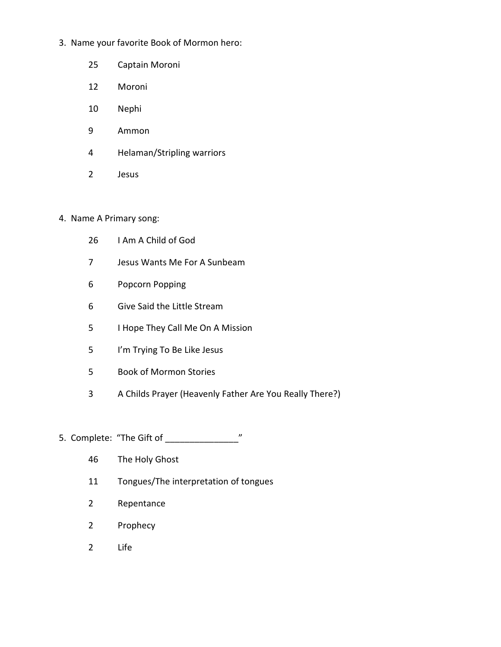- 3. Name your favorite Book of Mormon hero:
	- 25 Captain Moroni
	- 12 Moroni
	- 10 Nephi
	- 9 Ammon
	- 4 Helaman/Stripling warriors
	- 2 Jesus

## 4. Name A Primary song:

- 26 I Am A Child of God
- 7 Jesus Wants Me For A Sunbeam
- 6 Popcorn Popping
- 6 Give Said the Little Stream
- 5 I Hope They Call Me On A Mission
- 5 I'm Trying To Be Like Jesus
- 5 Book of Mormon Stories
- 3 A Childs Prayer (Heavenly Father Are You Really There?)
- 5. Complete: "The Gift of \_\_\_\_\_\_\_\_\_\_\_\_\_\_\_\_\_\_\_\_\_\_\_\_"
	- 46 The Holy Ghost
	- 11 Tongues/The interpretation of tongues
	- 2 Repentance
	- 2 Prophecy
	- 2 Life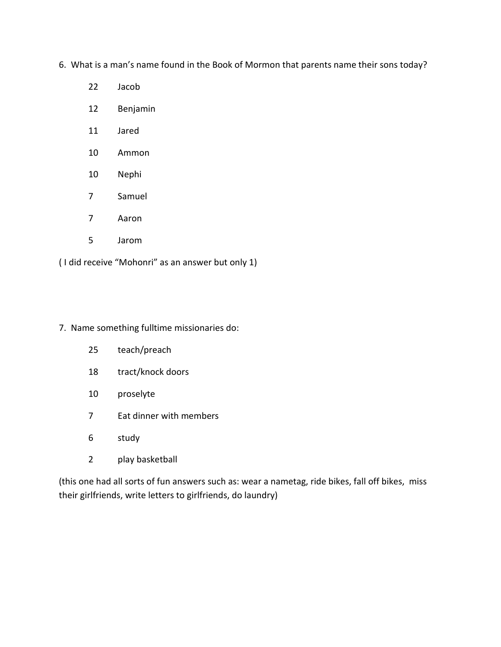6. What is a man's name found in the Book of Mormon that parents name their sons today?

- 22 Jacob
- 12 Benjamin
- 11 Jared
- 10 Ammon
- 10 Nephi
- 7 Samuel
- 7 Aaron
- 5 Jarom

( I did receive "Mohonri" as an answer but only 1)

7. Name something fulltime missionaries do:

- 25 teach/preach
- 18 tract/knock doors
- 10 proselyte
- 7 Eat dinner with members
- 6 study
- 2 play basketball

(this one had all sorts of fun answers such as: wear a nametag, ride bikes, fall off bikes, miss their girlfriends, write letters to girlfriends, do laundry)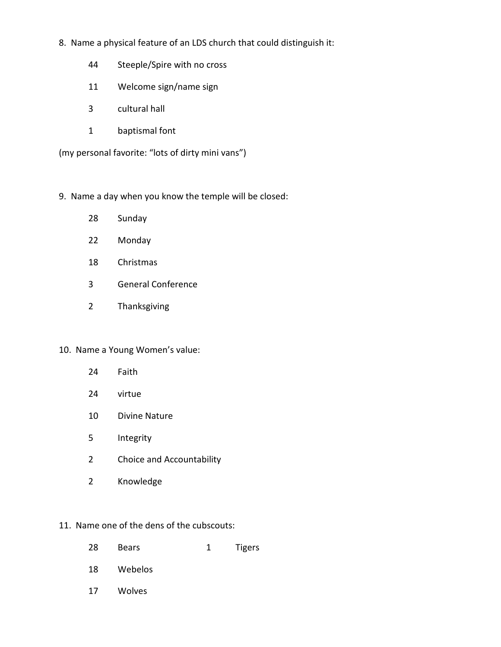- 8. Name a physical feature of an LDS church that could distinguish it:
	- 44 Steeple/Spire with no cross
	- 11 Welcome sign/name sign
	- 3 cultural hall
	- 1 baptismal font

(my personal favorite: "lots of dirty mini vans")

- 9. Name a day when you know the temple will be closed:
	- 28 Sunday
	- 22 Monday
	- 18 Christmas
	- 3 General Conference
	- 2 Thanksgiving

### 10. Name a Young Women's value:

- 24 Faith
- 24 virtue
- 10 Divine Nature
- 5 Integrity
- 2 Choice and Accountability
- 2 Knowledge

# 11. Name one of the dens of the cubscouts:

| 28 | <b>Bears</b> | 1 | Tigers |
|----|--------------|---|--------|
| 18 | Webelos      |   |        |
| 17 | Wolves       |   |        |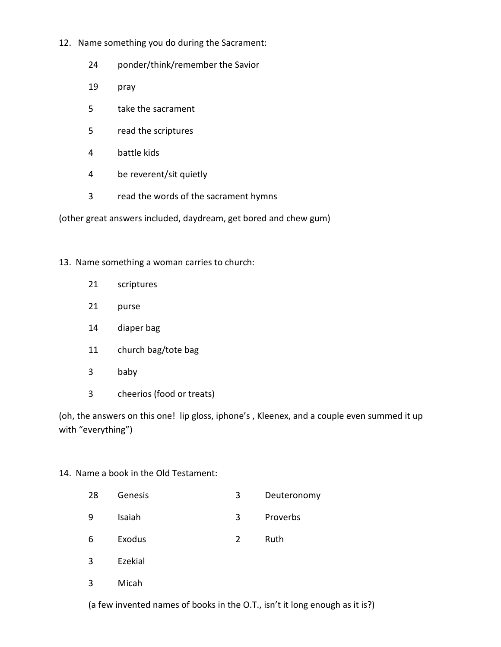- 12. Name something you do during the Sacrament:
	- 24 ponder/think/remember the Savior
	- 19 pray
	- 5 take the sacrament
	- 5 read the scriptures
	- 4 battle kids
	- 4 be reverent/sit quietly
	- 3 read the words of the sacrament hymns

(other great answers included, daydream, get bored and chew gum)

### 13. Name something a woman carries to church:

- 21 scriptures
- 21 purse
- 14 diaper bag
- 11 church bag/tote bag
- 3 baby
- 3 cheerios (food or treats)

(oh, the answers on this one! lip gloss, iphone's , Kleenex, and a couple even summed it up with "everything")

## 14. Name a book in the Old Testament:

28 Genesis 3 Deuteronomy 9 Isaiah 3 Proverbs 6 Exodus 2 Ruth 3 Ezekial 3 Micah

(a few invented names of books in the O.T., isn't it long enough as it is?)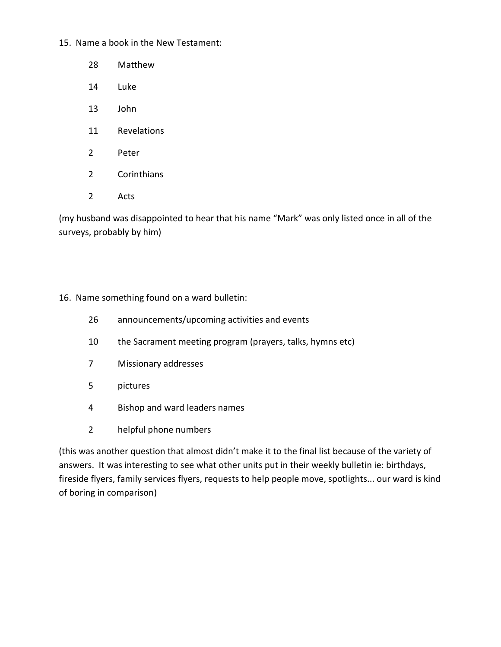15. Name a book in the New Testament:

- 28 Matthew
- 14 Luke
- 13 John
- 11 Revelations
- 2 Peter
- 2 Corinthians
- 2 Acts

(my husband was disappointed to hear that his name "Mark" was only listed once in all of the surveys, probably by him)

### 16. Name something found on a ward bulletin:

- 26 announcements/upcoming activities and events
- 10 the Sacrament meeting program (prayers, talks, hymns etc)
- 7 Missionary addresses
- 5 pictures
- 4 Bishop and ward leaders names
- 2 helpful phone numbers

(this was another question that almost didn't make it to the final list because of the variety of answers. It was interesting to see what other units put in their weekly bulletin ie: birthdays, fireside flyers, family services flyers, requests to help people move, spotlights... our ward is kind of boring in comparison)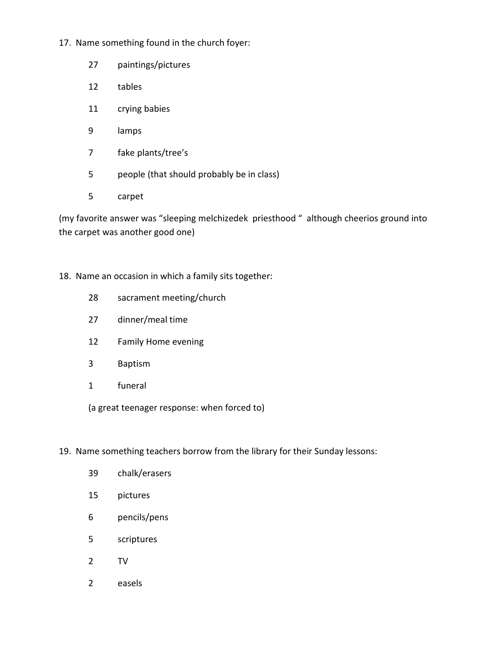- 17. Name something found in the church foyer:
	- 27 paintings/pictures
	- 12 tables
	- 11 crying babies
	- 9 lamps
	- 7 fake plants/tree's
	- 5 people (that should probably be in class)
	- 5 carpet

(my favorite answer was "sleeping melchizedek priesthood " although cheerios ground into the carpet was another good one)

18. Name an occasion in which a family sits together:

- 28 sacrament meeting/church
- 27 dinner/meal time
- 12 Family Home evening
- 3 Baptism
- 1 funeral

(a great teenager response: when forced to)

# 19. Name something teachers borrow from the library for their Sunday lessons:

 39 chalk/erasers 15 pictures 6 pencils/pens 5 scriptures 2 TV 2 easels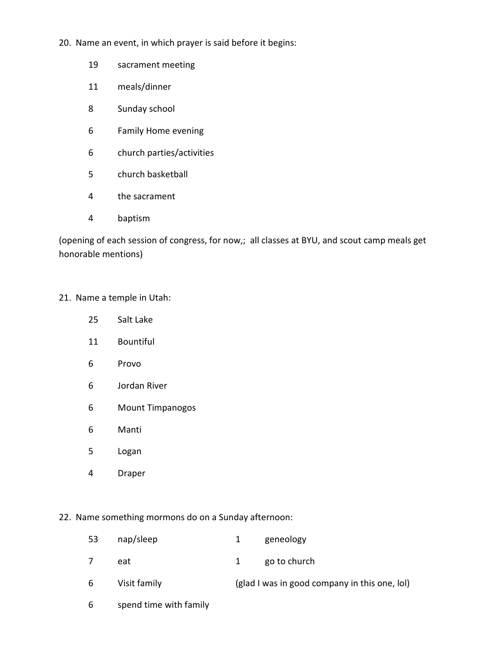- 20. Name an event, in which prayer is said before it begins:
	- 19 sacrament meeting
	- 11 meals/dinner
	- 8 Sunday school
	- 6 Family Home evening
	- 6 church parties/activities
	- 5 church basketball
	- 4 the sacrament
	- 4 baptism

(opening of each session of congress, for now,; all classes at BYU, and scout camp meals get honorable mentions)

### 21. Name a temple in Utah:

- 25 Salt Lake
- 11 Bountiful
- 6 Provo
- 6 Jordan River
- 6 Mount Timpanogos
- 6 Manti
- 5 Logan
- 4 Draper

### 22. Name something mormons do on a Sunday afternoon:

- 53 nap/sleep 1 geneology
- 7 eat 1 go to church
- 6 Visit family (glad I was in good company in this one, lol)
- 6 spend time with family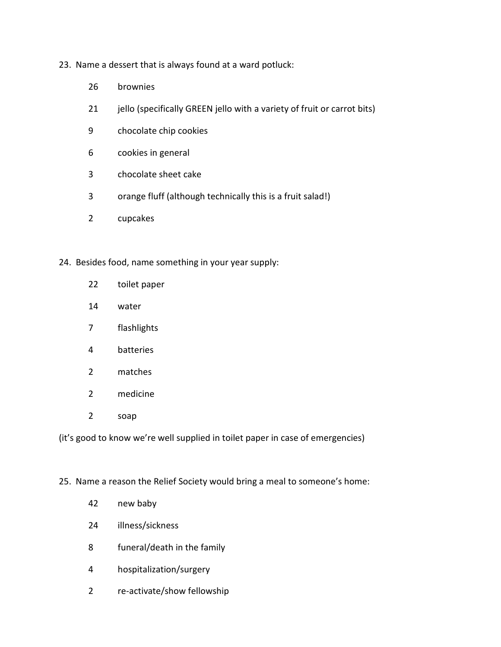- 23. Name a dessert that is always found at a ward potluck:
	- 26 brownies
	- 21 jello (specifically GREEN jello with a variety of fruit or carrot bits)
	- 9 chocolate chip cookies
	- 6 cookies in general
	- 3 chocolate sheet cake
	- 3 orange fluff (although technically this is a fruit salad!)
	- 2 cupcakes
- 24. Besides food, name something in your year supply:
	- 22 toilet paper
	- 14 water
	- 7 flashlights
	- 4 batteries
	- 2 matches
	- 2 medicine
	- 2 soap

(it's good to know we're well supplied in toilet paper in case of emergencies)

### 25. Name a reason the Relief Society would bring a meal to someone's home:

- 42 new baby
- 24 illness/sickness
- 8 funeral/death in the family
- 4 hospitalization/surgery
- 2 re-activate/show fellowship